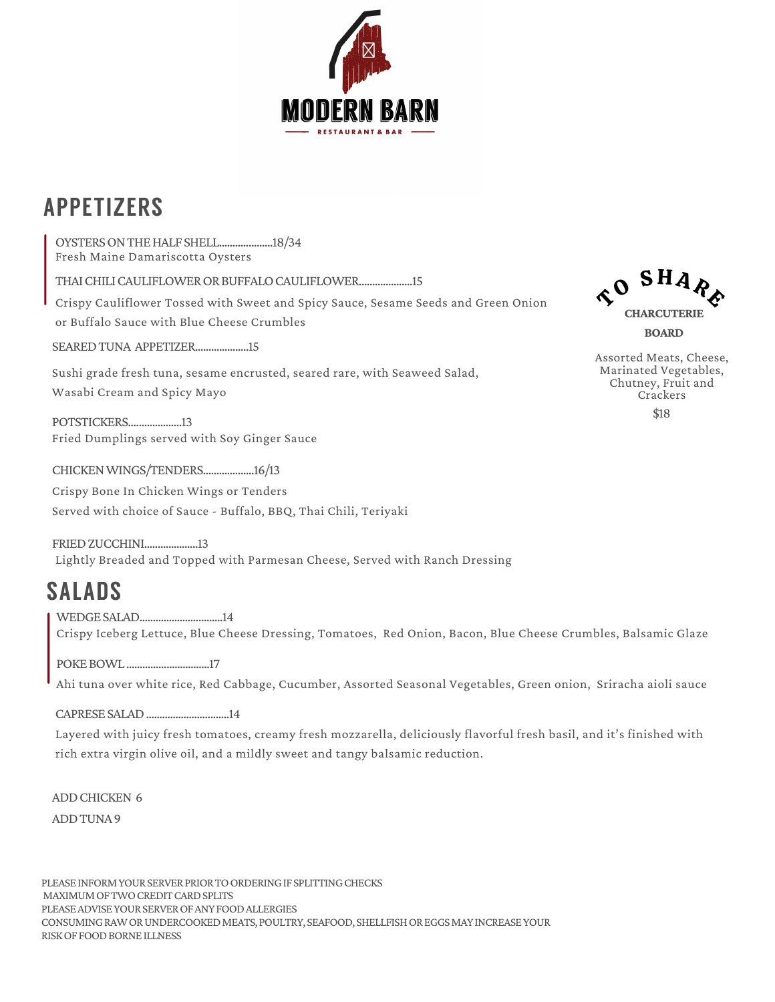

## APPETIZERS

OYSTERS ON THE HALF SHELL......................18/34 Fresh Maine Damariscotta Oysters SEAREDTUNA APPETIZER....................15 Sushi grade fresh tuna, sesame encrusted, seared rare, with Seaweed Salad, Wasabi Cream and Spicy Mayo THAI CHILI CAULIFLOWER OR BUFFALO CAULIFLOWER.....................15 Crispy Cauliflower Tossed with Sweet and Spicy Sauce, Sesame Seeds and Green Onion or Buffalo Sauce with Blue Cheese Crumbles

POTSTICKERS....................13 Fried Dumplings served with Soy Ginger Sauce

CHICKENWINGS/TENDERS...................16/13

Crispy Bone In Chicken Wings or Tenders Served with choice of Sauce - Buffalo, BBQ, Thai Chili, Teriyaki

FRIEDZUCCHINI....................13 Lightly Breaded and Topped with Parmesan Cheese, Served with Ranch Dressing

## SALADS

WEDGE SALAD................................14 Crispy Iceberg Lettuce, Blue Cheese Dressing, Tomatoes, Red Onion, Bacon, Blue Cheese Crumbles, Balsamic Glaze

POKEBOWL...............................17

Ahi tuna over white rice, Red Cabbage, Cucumber, Assorted Seasonal Vegetables, Green onion, Sriracha aioli sauce

CAPRESESALAD...............................14

Layered with juicy fresh tomatoes, creamy fresh mozzarella, deliciously flavorful fresh basil, and it's finished with rich extra virgin olive oil, and a mildly sweet and tangy balsamic reduction.

ADDCHICKEN 6 ADDTUNA9

PLEASE INFORM YOUR SERVER PRIOR TO ORDERING IF SPLITTING CHECKS MAXIMUM OF TWO CREDIT CARD SPLITS PLEASEADVISEYOURSERVEROFANYFOODALLERGIES CONSUMING RAW OR UNDERCOOKED MEATS, POULTRY, SEAFOOD, SHELLFISH OR EGGS MAY INCREASE YOUR RISK OF FOOD BORNE ILLNESS



Assorted Meats, Cheese, Marinated Vegetables, Chutney, Fruit and Crackers \$18